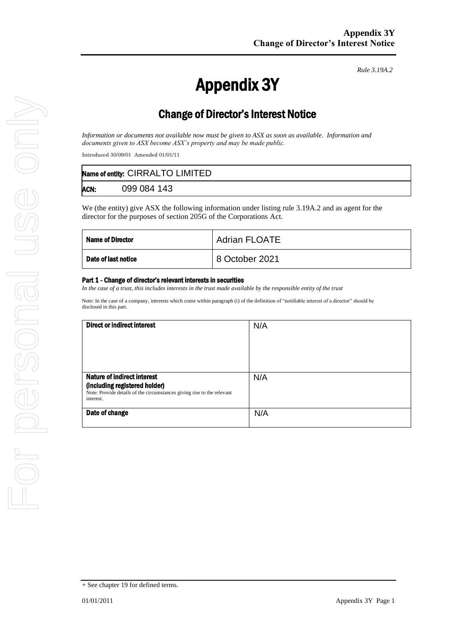*Rule 3.19A.2*

# Appendix 3Y

## Change of Director's Interest Notice

*Information or documents not available now must be given to ASX as soon as available. Information and documents given to ASX become ASX's property and may be made public.*

Introduced 30/09/01 Amended 01/01/11

|      | Name of entity: CIRRALTO LIMITED |
|------|----------------------------------|
| ACN: | 099 084 143                      |

We (the entity) give ASX the following information under listing rule 3.19A.2 and as agent for the director for the purposes of section 205G of the Corporations Act.

| <b>Name of Director</b> | Adrian FLOATE  |
|-------------------------|----------------|
| Date of last notice     | 8 October 2021 |

#### Part 1 - Change of director's relevant interests in securities

*In the case of a trust, this includes interests in the trust made available by the responsible entity of the trust* 

Note: In the case of a company, interests which come within paragraph (i) of the definition of "notifiable interest of a director" should be disclosed in this part.

| <b>Direct or indirect interest</b>                                                                                                                         | N/A |
|------------------------------------------------------------------------------------------------------------------------------------------------------------|-----|
| <b>Nature of indirect interest</b><br>(including registered holder)<br>Note: Provide details of the circumstances giving rise to the relevant<br>interest. | N/A |
| Date of change                                                                                                                                             | N/A |

<sup>+</sup> See chapter 19 for defined terms.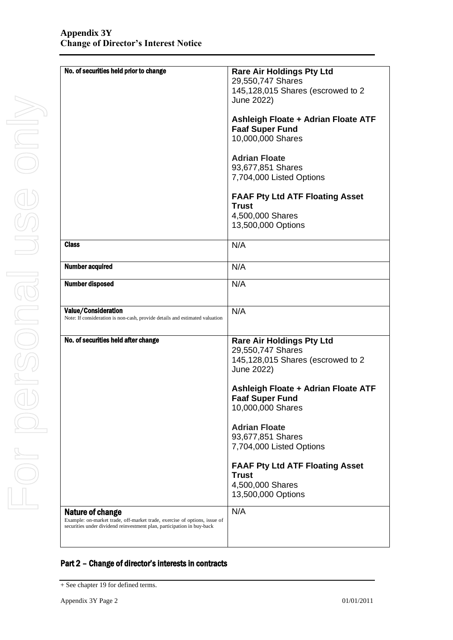| No. of securities held prior to change                                                                                                                                         | <b>Rare Air Holdings Pty Ltd</b><br>29,550,747 Shares<br>145,128,015 Shares (escrowed to 2<br>June 2022) |
|--------------------------------------------------------------------------------------------------------------------------------------------------------------------------------|----------------------------------------------------------------------------------------------------------|
|                                                                                                                                                                                | Ashleigh Floate + Adrian Floate ATF<br><b>Faaf Super Fund</b><br>10,000,000 Shares                       |
|                                                                                                                                                                                | <b>Adrian Floate</b><br>93,677,851 Shares<br>7,704,000 Listed Options                                    |
|                                                                                                                                                                                | <b>FAAF Pty Ltd ATF Floating Asset</b><br><b>Trust</b><br>4,500,000 Shares<br>13,500,000 Options         |
| <b>Class</b>                                                                                                                                                                   | N/A                                                                                                      |
| <b>Number acquired</b>                                                                                                                                                         | N/A                                                                                                      |
| <b>Number disposed</b>                                                                                                                                                         | N/A                                                                                                      |
| Value/Consideration<br>Note: If consideration is non-cash, provide details and estimated valuation                                                                             | N/A                                                                                                      |
| No. of securities held after change                                                                                                                                            | <b>Rare Air Holdings Pty Ltd</b><br>29,550,747 Shares<br>145,128,015 Shares (escrowed to 2<br>June 2022) |
|                                                                                                                                                                                | Ashleigh Floate + Adrian Floate ATF<br><b>Faaf Super Fund</b><br>10,000,000 Shares                       |
|                                                                                                                                                                                | <b>Adrian Floate</b><br>93,677,851 Shares<br>7,704,000 Listed Options                                    |
|                                                                                                                                                                                | <b>FAAF Pty Ltd ATF Floating Asset</b><br><b>Trust</b><br>4,500,000 Shares<br>13,500,000 Options         |
| <b>Nature of change</b><br>Example: on-market trade, off-market trade, exercise of options, issue of<br>securities under dividend reinvestment plan, participation in buy-back | N/A                                                                                                      |

<sup>+</sup> See chapter 19 for defined terms.